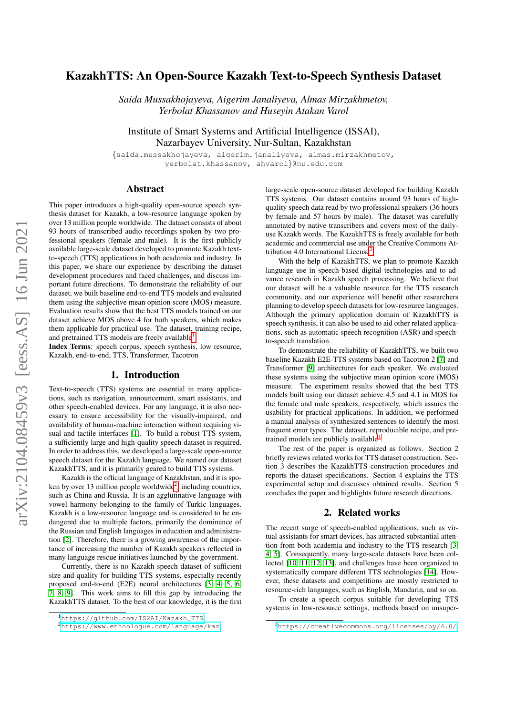# arXiv:2104.08459v3 [eess.AS] 16 Jun 2021 arXiv:2104.08459v3 [eess.AS] 16 Jun 2021

# KazakhTTS: An Open-Source Kazakh Text-to-Speech Synthesis Dataset

*Saida Mussakhojayeva, Aigerim Janaliyeva, Almas Mirzakhmetov, Yerbolat Khassanov and Huseyin Atakan Varol*

Institute of Smart Systems and Artificial Intelligence (ISSAI), Nazarbayev University, Nur-Sultan, Kazakhstan

{saida.mussakhojayeva, aigerim.janaliyeva, almas.mirzakhmetov, yerbolat.khassanov, ahvarol}@nu.edu.com

# Abstract

This paper introduces a high-quality open-source speech synthesis dataset for Kazakh, a low-resource language spoken by over 13 million people worldwide. The dataset consists of about 93 hours of transcribed audio recordings spoken by two professional speakers (female and male). It is the first publicly available large-scale dataset developed to promote Kazakh textto-speech (TTS) applications in both academia and industry. In this paper, we share our experience by describing the dataset development procedures and faced challenges, and discuss important future directions. To demonstrate the reliability of our dataset, we built baseline end-to-end TTS models and evaluated them using the subjective mean opinion score (MOS) measure. Evaluation results show that the best TTS models trained on our dataset achieve MOS above 4 for both speakers, which makes them applicable for practical use. The dataset, training recipe, and pretrained TTS models are freely available<sup>[1](#page-0-0)</sup>.

Index Terms: speech corpus, speech synthesis, low resource, Kazakh, end-to-end, TTS, Transformer, Tacotron

# 1. Introduction

Text-to-speech (TTS) systems are essential in many applications, such as navigation, announcement, smart assistants, and other speech-enabled devices. For any language, it is also necessary to ensure accessibility for the visually-impaired, and availability of human-machine interaction without requiring visual and tactile interfaces [\[1\]](#page-4-0). To build a robust TTS system, a sufficiently large and high-quality speech dataset is required. In order to address this, we developed a large-scale open-source speech dataset for the Kazakh language. We named our dataset KazakhTTS, and it is primarily geared to build TTS systems.

Kazakh is the official language of Kazakhstan, and it is spo-ken by over 13 million people worldwide<sup>[2](#page-0-1)</sup>, including countries, such as China and Russia. It is an agglutinative language with vowel harmony belonging to the family of Turkic languages. Kazakh is a low-resource language and is considered to be endangered due to multiple factors, primarily the dominance of the Russian and English languages in education and administration [\[2\]](#page-4-1). Therefore, there is a growing awareness of the importance of increasing the number of Kazakh speakers reflected in many language rescue initiatives launched by the government.

Currently, there is no Kazakh speech dataset of sufficient size and quality for building TTS systems, especially recently proposed end-to-end (E2E) neural architectures [\[3,](#page-4-2) [4,](#page-4-3) [5,](#page-4-4) [6,](#page-4-5) [7,](#page-4-6) [8,](#page-4-7) [9\]](#page-4-8). This work aims to fill this gap by introducing the KazakhTTS dataset. To the best of our knowledge, it is the first

large-scale open-source dataset developed for building Kazakh TTS systems. Our dataset contains around 93 hours of highquality speech data read by two professional speakers (36 hours by female and 57 hours by male). The dataset was carefully annotated by native transcribers and covers most of the dailyuse Kazakh words. The KazakhTTS is freely available for both academic and commercial use under the Creative Commons At-tribution 4.0 International License<sup>[3](#page-0-2)</sup>.

With the help of KazakhTTS, we plan to promote Kazakh language use in speech-based digital technologies and to advance research in Kazakh speech processing. We believe that our dataset will be a valuable resource for the TTS research community, and our experience will benefit other researchers planning to develop speech datasets for low-resource languages. Although the primary application domain of KazakhTTS is speech synthesis, it can also be used to aid other related applications, such as automatic speech recognition (ASR) and speechto-speech translation.

To demonstrate the reliability of KazakhTTS, we built two baseline Kazakh E2E-TTS systems based on Tacotron 2 [\[7\]](#page-4-6) and Transformer [\[9\]](#page-4-8) architectures for each speaker. We evaluated these systems using the subjective mean opinion score (MOS) measure. The experiment results showed that the best TTS models built using our dataset achieve 4.5 and 4.1 in MOS for the female and male speakers, respectively, which assures the usability for practical applications. In addition, we performed a manual analysis of synthesized sentences to identify the most frequent error types. The dataset, reproducible recipe, and pre-trained models are publicly available<sup>[1](#page-0-0)</sup>.

The rest of the paper is organized as follows. Section 2 briefly reviews related works for TTS dataset construction. Section 3 describes the KazakhTTS construction procedures and reports the dataset specifications. Section 4 explains the TTS experimental setup and discusses obtained results. Section 5 concludes the paper and highlights future research directions.

# 2. Related works

The recent surge of speech-enabled applications, such as virtual assistants for smart devices, has attracted substantial attention from both academia and industry to the TTS research [\[3,](#page-4-2) [4,](#page-4-3) [5\]](#page-4-4). Consequently, many large-scale datasets have been collected [\[10,](#page-4-9) [11,](#page-4-10) [12,](#page-4-11) [13\]](#page-4-12), and challenges have been organized to systematically compare different TTS technologies [\[14\]](#page-4-13). However, these datasets and competitions are mostly restricted to resource-rich languages, such as English, Mandarin, and so on.

To create a speech corpus suitable for developing TTS systems in low-resource settings, methods based on unsuper-

<span id="page-0-0"></span><sup>1</sup>[https://github.com/IS2AI/Kazakh\\_TTS](https://github.com/IS2AI/Kazakh_TTS)

<span id="page-0-1"></span><sup>2</sup><https://www.ethnologue.com/language/kaz>

<span id="page-0-2"></span><sup>3</sup><https://creativecommons.org/licenses/by/4.0/>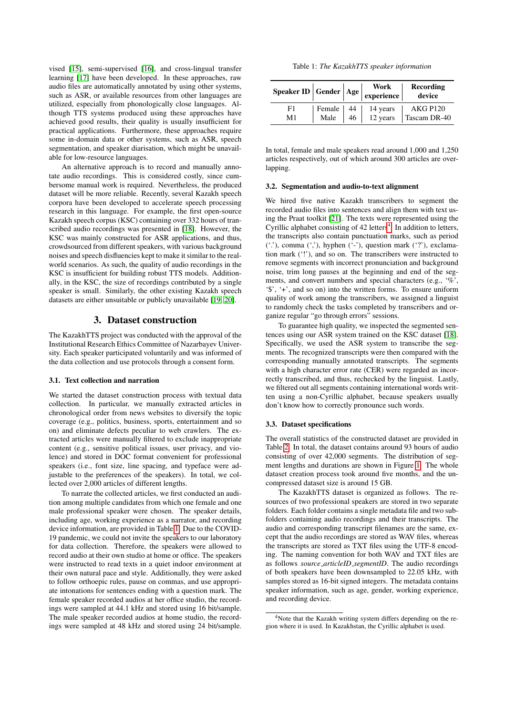vised [\[15\]](#page-4-14), semi-supervised [\[16\]](#page-4-15), and cross-lingual transfer learning [\[17\]](#page-4-16) have been developed. In these approaches, raw audio files are automatically annotated by using other systems, such as ASR, or available resources from other languages are utilized, especially from phonologically close languages. Although TTS systems produced using these approaches have achieved good results, their quality is usually insufficient for practical applications. Furthermore, these approaches require some in-domain data or other systems, such as ASR, speech segmentation, and speaker diarisation, which might be unavailable for low-resource languages.

An alternative approach is to record and manually annotate audio recordings. This is considered costly, since cumbersome manual work is required. Nevertheless, the produced dataset will be more reliable. Recently, several Kazakh speech corpora have been developed to accelerate speech processing research in this language. For example, the first open-source Kazakh speech corpus (KSC) containing over 332 hours of transcribed audio recordings was presented in [\[18\]](#page-4-17). However, the KSC was mainly constructed for ASR applications, and thus, crowdsourced from different speakers, with various background noises and speech disfluencies kept to make it similar to the realworld scenarios. As such, the quality of audio recordings in the KSC is insufficient for building robust TTS models. Additionally, in the KSC, the size of recordings contributed by a single speaker is small. Similarly, the other existing Kazakh speech datasets are either unsuitable or publicly unavailable [\[19,](#page-4-18) [20\]](#page-4-19).

# 3. Dataset construction

The KazakhTTS project was conducted with the approval of the Institutional Research Ethics Committee of Nazarbayev University. Each speaker participated voluntarily and was informed of the data collection and use protocols through a consent form.

#### 3.1. Text collection and narration

We started the dataset construction process with textual data collection. In particular, we manually extracted articles in chronological order from news websites to diversify the topic coverage (e.g., politics, business, sports, entertainment and so on) and eliminate defects peculiar to web crawlers. The extracted articles were manually filtered to exclude inappropriate content (e.g., sensitive political issues, user privacy, and violence) and stored in DOC format convenient for professional speakers (i.e., font size, line spacing, and typeface were adjustable to the preferences of the speakers). In total, we collected over 2,000 articles of different lengths.

To narrate the collected articles, we first conducted an audition among multiple candidates from which one female and one male professional speaker were chosen. The speaker details, including age, working experience as a narrator, and recording device information, are provided in Table [1.](#page-1-0) Due to the COVID-19 pandemic, we could not invite the speakers to our laboratory for data collection. Therefore, the speakers were allowed to record audio at their own studio at home or office. The speakers were instructed to read texts in a quiet indoor environment at their own natural pace and style. Additionally, they were asked to follow orthoepic rules, pause on commas, and use appropriate intonations for sentences ending with a question mark. The female speaker recorded audios at her office studio, the recordings were sampled at 44.1 kHz and stored using 16 bit/sample. The male speaker recorded audios at home studio, the recordings were sampled at 48 kHz and stored using 24 bit/sample.

Table 1: *The KazakhTTS speaker information*

<span id="page-1-0"></span>

| $\begin{array}{c c c c} \textbf{Speaker ID} & \textbf{Gender} & \textbf{Age} & \textbf{Work} & \textbf{Recordir} \\ \hline \textbf{experience} & & \textbf{device} & \\ \end{array}$ |  | Recording                                                                               |
|--------------------------------------------------------------------------------------------------------------------------------------------------------------------------------------|--|-----------------------------------------------------------------------------------------|
| F1<br>M1                                                                                                                                                                             |  | Female   44   14 years   AKG P120<br>Male   46   12 years   Tascam DR-4<br>Tascam DR-40 |

In total, female and male speakers read around 1,000 and 1,250 articles respectively, out of which around 300 articles are overlapping.

#### 3.2. Segmentation and audio-to-text alignment

We hired five native Kazakh transcribers to segment the recorded audio files into sentences and align them with text using the Praat toolkit [\[21\]](#page-4-20). The texts were represented using the Cyrillic alphabet consisting of  $42$  $42$  letters<sup>4</sup>. In addition to letters, the transcripts also contain punctuation marks, such as period  $($ .''), comma  $($ '''), hyphen  $($ '-''), question mark  $($ '''), exclamation mark ('!'), and so on. The transcribers were instructed to remove segments with incorrect pronunciation and background noise, trim long pauses at the beginning and end of the segments, and convert numbers and special characters (e.g., '%', '\$', '+', and so on) into the written forms. To ensure uniform quality of work among the transcribers, we assigned a linguist to randomly check the tasks completed by transcribers and organize regular "go through errors" sessions.

To guarantee high quality, we inspected the segmented sentences using our ASR system trained on the KSC dataset [\[18\]](#page-4-17). Specifically, we used the ASR system to transcribe the segments. The recognized transcripts were then compared with the corresponding manually annotated transcripts. The segments with a high character error rate (CER) were regarded as incorrectly transcribed, and thus, rechecked by the linguist. Lastly, we filtered out all segments containing international words written using a non-Cyrillic alphabet, because speakers usually don't know how to correctly pronounce such words.

#### 3.3. Dataset specifications

The overall statistics of the constructed dataset are provided in Table [2.](#page-2-0) In total, the dataset contains around 93 hours of audio consisting of over 42,000 segments. The distribution of segment lengths and durations are shown in Figure [1.](#page-2-1) The whole dataset creation process took around five months, and the uncompressed dataset size is around 15 GB.

The KazakhTTS dataset is organized as follows. The resources of two professional speakers are stored in two separate folders. Each folder contains a single metadata file and two subfolders containing audio recordings and their transcripts. The audio and corresponding transcript filenames are the same, except that the audio recordings are stored as WAV files, whereas the transcripts are stored as TXT files using the UTF-8 encoding. The naming convention for both WAV and TXT files are as follows *source articleID segmentID*. The audio recordings of both speakers have been downsampled to 22.05 kHz, with samples stored as 16-bit signed integers. The metadata contains speaker information, such as age, gender, working experience, and recording device.

<span id="page-1-1"></span><sup>4</sup>Note that the Kazakh writing system differs depending on the region where it is used. In Kazakhstan, the Cyrillic alphabet is used.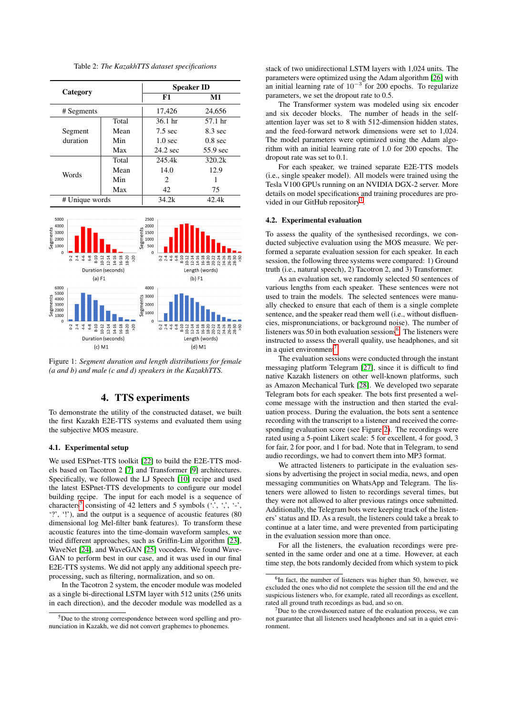<span id="page-2-0"></span>

Table 2: *The KazakhTTS dataset specifications*



# 4. TTS experiments

To demonstrate the utility of the constructed dataset, we built the first Kazakh E2E-TTS systems and evaluated them using the subjective MOS measure.

#### 4.1. Experimental setup

<span id="page-2-1"></span>1000

We used ESPnet-TTS toolkit [\[22\]](#page-4-21) to build the E2E-TTS models based on Tacotron 2 [\[7\]](#page-4-6) and Transformer [\[9\]](#page-4-8) architectures. Specifically, we followed the LJ Speech [\[10\]](#page-4-9) recipe and used the latest ESPnet-TTS developments to configure our model building recipe. The input for each model is a sequence of characters<sup>[5](#page-2-2)</sup> consisting of 42 letters and 5 symbols  $(., \cdot, ', \cdot, ', \cdot, ',$ '?', '!'), and the output is a sequence of acoustic features (80 dimensional log Mel-filter bank features). To transform these acoustic features into the time-domain waveform samples, we tried different approaches, such as Griffin-Lim algorithm [\[23\]](#page-4-22), WaveNet [\[24\]](#page-4-23), and WaveGAN [\[25\]](#page-4-24) vocoders. We found Wave-GAN to perform best in our case, and it was used in our final E2E-TTS systems. We did not apply any additional speech preprocessing, such as filtering, normalization, and so on.

In the Tacotron 2 system, the encoder module was modeled as a single bi-directional LSTM layer with 512 units (256 units in each direction), and the decoder module was modelled as a stack of two unidirectional LSTM layers with 1,024 units. The parameters were optimized using the Adam algorithm [\[26\]](#page-4-25) with an initial learning rate of  $10^{-3}$  for 200 epochs. To regularize parameters, we set the dropout rate to 0.5.

The Transformer system was modeled using six encoder and six decoder blocks. The number of heads in the selfattention layer was set to 8 with 512-dimension hidden states, and the feed-forward network dimensions were set to 1,024. The model parameters were optimized using the Adam algorithm with an initial learning rate of 1.0 for 200 epochs. The dropout rate was set to 0.1.

For each speaker, we trained separate E2E-TTS models (i.e., single speaker model). All models were trained using the Tesla V100 GPUs running on an NVIDIA DGX-2 server. More details on model specifications and training procedures are pro-vided in our GitHub repository<sup>[1](#page-0-0)</sup>.

#### 4.2. Experimental evaluation

To assess the quality of the synthesised recordings, we conducted subjective evaluation using the MOS measure. We performed a separate evaluation session for each speaker. In each session, the following three systems were compared: 1) Ground truth (i.e., natural speech), 2) Tacotron 2, and 3) Transformer.

As an evaluation set, we randomly selected 50 sentences of various lengths from each speaker. These sentences were not used to train the models. The selected sentences were manually checked to ensure that each of them is a single complete sentence, and the speaker read them well (i.e., without disfluencies, mispronunciations, or background noise). The number of listeners was 50 in both evaluation sessions<sup>[6](#page-2-3)</sup>. The listeners were instructed to assess the overall quality, use headphones, and sit in a quiet environment<sup>[7](#page-2-4)</sup>.

The evaluation sessions were conducted through the instant messaging platform Telegram [\[27\]](#page-4-26), since it is difficult to find native Kazakh listeners on other well-known platforms, such as Amazon Mechanical Turk [\[28\]](#page-4-27). We developed two separate Telegram bots for each speaker. The bots first presented a welcome message with the instruction and then started the evaluation process. During the evaluation, the bots sent a sentence recording with the transcript to a listener and received the corresponding evaluation score (see Figure [2\)](#page-3-0). The recordings were rated using a 5-point Likert scale: 5 for excellent, 4 for good, 3 for fair, 2 for poor, and 1 for bad. Note that in Telegram, to send audio recordings, we had to convert them into MP3 format.

We attracted listeners to participate in the evaluation sessions by advertising the project in social media, news, and open messaging communities on WhatsApp and Telegram. The listeners were allowed to listen to recordings several times, but they were not allowed to alter previous ratings once submitted. Additionally, the Telegram bots were keeping track of the listeners' status and ID. As a result, the listeners could take a break to continue at a later time, and were prevented from participating in the evaluation session more than once.

For all the listeners, the evaluation recordings were presented in the same order and one at a time. However, at each time step, the bots randomly decided from which system to pick

<span id="page-2-2"></span><sup>5</sup>Due to the strong correspondence between word spelling and pronunciation in Kazakh, we did not convert graphemes to phonemes.

<span id="page-2-3"></span><sup>6</sup> In fact, the number of listeners was higher than 50, however, we excluded the ones who did not complete the session till the end and the suspicious listeners who, for example, rated all recordings as excellent, rated all ground truth recordings as bad, and so on.

<span id="page-2-4"></span> $7$ Due to the crowdsourced nature of the evaluation process, we can not guarantee that all listeners used headphones and sat in a quiet environment.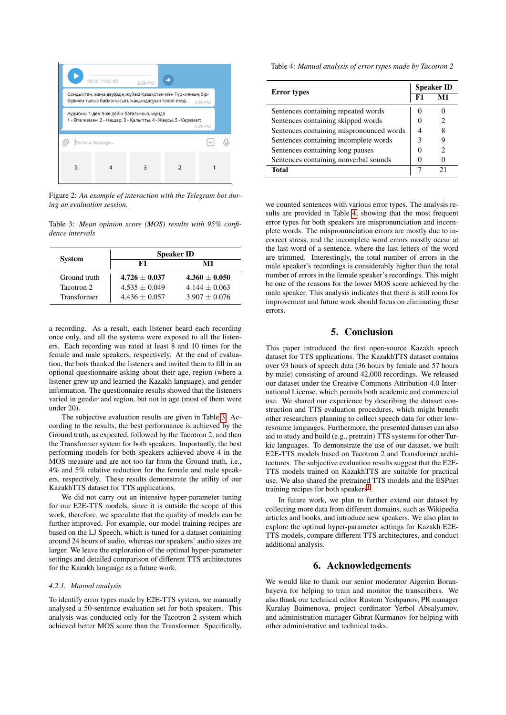<span id="page-3-0"></span>

Figure 2: *An example of interaction with the Telegram bot during an evaluation session.*

<span id="page-3-1"></span>Table 3: *Mean opinion score (MOS) results with 95% confidence intervals*

| <b>System</b> | <b>Speaker ID</b> |                 |  |  |
|---------------|-------------------|-----------------|--|--|
|               | F1                | M1              |  |  |
| Ground truth  | $4.726 + 0.037$   | $4.360 + 0.050$ |  |  |
| Tacotron 2    | $4.535 + 0.049$   | $4.144 + 0.063$ |  |  |
| Transformer   | $4.436 + 0.057$   | $3.907 + 0.076$ |  |  |

a recording. As a result, each listener heard each recording once only, and all the systems were exposed to all the listeners. Each recording was rated at least 8 and 10 times for the female and male speakers, respectively. At the end of evaluation, the bots thanked the listeners and invited them to fill in an optional questionnaire asking about their age, region (where a listener grew up and learned the Kazakh language), and gender information. The questionnaire results showed that the listeners varied in gender and region, but not in age (most of them were under 20).

The subjective evaluation results are given in Table [3.](#page-3-1) According to the results, the best performance is achieved by the Ground truth, as expected, followed by the Tacotron 2, and then the Transformer system for both speakers. Importantly, the best performing models for both speakers achieved above 4 in the MOS measure and are not too far from the Ground truth, i.e., 4% and 5% relative reduction for the female and male speakers, respectively. These results demonstrate the utility of our KazakhTTS dataset for TTS applications.

We did not carry out an intensive hyper-parameter tuning for our E2E-TTS models, since it is outside the scope of this work, therefore, we speculate that the quality of models can be further improved. For example, our model training recipes are based on the LJ Speech, which is tuned for a dataset containing around 24 hours of audio, whereas our speakers' audio sizes are larger. We leave the exploration of the optimal hyper-parameter settings and detailed comparison of different TTS architectures for the Kazakh language as a future work.

#### *4.2.1. Manual analysis*

To identify error types made by E2E-TTS system, we manually analysed a 50-sentence evaluation set for both speakers. This analysis was conducted only for the Tacotron 2 system which achieved better MOS score than the Transformer. Specifically, <span id="page-3-2"></span>Table 4: *Manual analysis of error types made by Tacotron 2*

| <b>Error types</b>                       |    | <b>Speaker ID</b> |  |
|------------------------------------------|----|-------------------|--|
|                                          | F1 | M1                |  |
| Sentences containing repeated words      |    |                   |  |
| Sentences containing skipped words       |    |                   |  |
| Sentences containing mispronounced words |    |                   |  |
| Sentences containing incomplete words    |    |                   |  |
| Sentences containing long pauses         |    |                   |  |
| Sentences containing nonverbal sounds    |    |                   |  |
| Total                                    |    |                   |  |

we counted sentences with various error types. The analysis results are provided in Table [4,](#page-3-2) showing that the most frequent error types for both speakers are mispronunciation and incomplete words. The mispronunciation errors are mostly due to incorrect stress, and the incomplete word errors mostly occur at the last word of a sentence, where the last letters of the word are trimmed. Interestingly, the total number of errors in the male speaker's recordings is considerably higher than the total number of errors in the female speaker's recordings. This might be one of the reasons for the lower MOS score achieved by the male speaker. This analysis indicates that there is still room for improvement and future work should focus on eliminating these errors.

# 5. Conclusion

This paper introduced the first open-source Kazakh speech dataset for TTS applications. The KazakhTTS dataset contains over 93 hours of speech data (36 hours by female and 57 hours by male) consisting of around 42,000 recordings. We released our dataset under the Creative Commons Attribution 4.0 International License, which permits both academic and commercial use. We shared our experience by describing the dataset construction and TTS evaluation procedures, which might benefit other researchers planning to collect speech data for other lowresource languages. Furthermore, the presented dataset can also aid to study and build (e.g., pretrain) TTS systems for other Turkic languages. To demonstrate the use of our dataset, we built E2E-TTS models based on Tacotron 2 and Transformer architectures. The subjective evaluation results suggest that the E2E-TTS models trained on KazakhTTS are suitable for practical use. We also shared the pretrained TTS models and the ESPnet training recipes for both speakers<sup>[1](#page-0-0)</sup>.

In future work, we plan to further extend our dataset by collecting more data from different domains, such as Wikipedia articles and books, and introduce new speakers. We also plan to explore the optimal hyper-parameter settings for Kazakh E2E-TTS models, compare different TTS architectures, and conduct additional analysis.

# 6. Acknowledgements

We would like to thank our senior moderator Aigerim Boranbayeva for helping to train and monitor the transcribers. We also thank our technical editor Rustem Yeshpanov, PR manager Kuralay Baimenova, project cordinator Yerbol Absalyamov, and administration manager Gibrat Kurmanov for helping with other administrative and technical tasks.